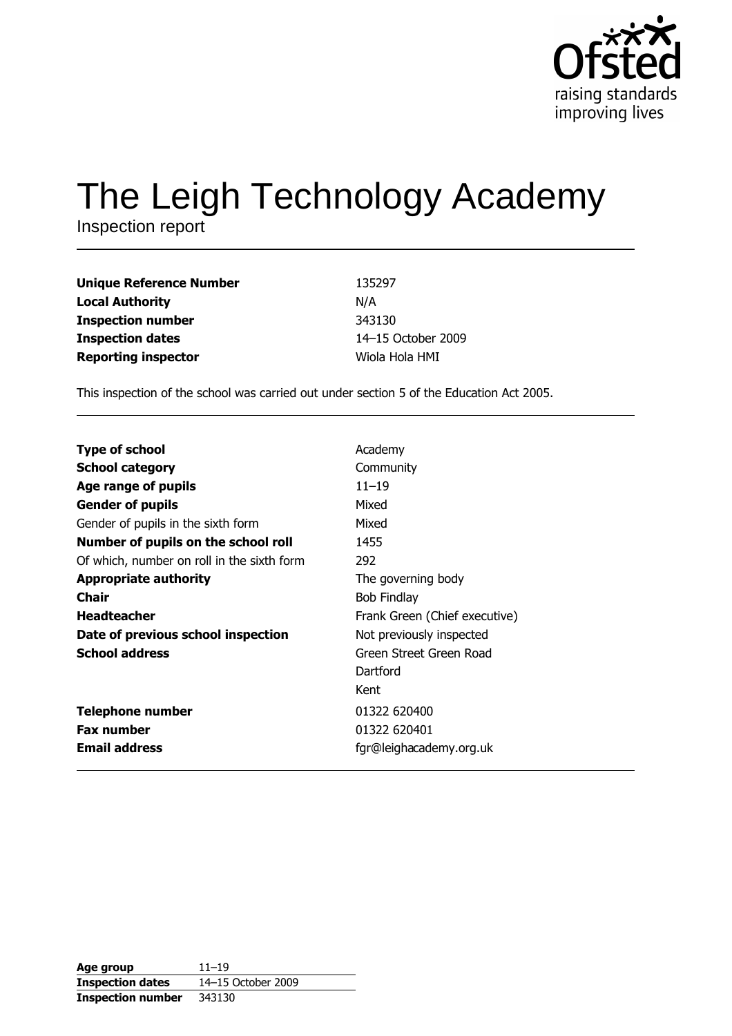

# The Leigh Technology Academy

Inspection report

| <b>Unique Reference Number</b> | 135297             |
|--------------------------------|--------------------|
| <b>Local Authority</b>         | N/A                |
| <b>Inspection number</b>       | 343130             |
| <b>Inspection dates</b>        | 14-15 October 2009 |
| <b>Reporting inspector</b>     | Wiola Hola HMI     |

This inspection of the school was carried out under section 5 of the Education Act 2005.

| <b>Type of school</b>                      | Academy                       |
|--------------------------------------------|-------------------------------|
|                                            |                               |
| <b>School category</b>                     | Community                     |
| Age range of pupils                        | $11 - 19$                     |
| <b>Gender of pupils</b>                    | Mixed                         |
| Gender of pupils in the sixth form         | Mixed                         |
| Number of pupils on the school roll        | 1455                          |
| Of which, number on roll in the sixth form | 292                           |
| <b>Appropriate authority</b>               | The governing body            |
| <b>Chair</b>                               | <b>Bob Findlay</b>            |
| <b>Headteacher</b>                         | Frank Green (Chief executive) |
| Date of previous school inspection         | Not previously inspected      |
| <b>School address</b>                      | Green Street Green Road       |
|                                            | Dartford                      |
|                                            | Kent                          |
| <b>Telephone number</b>                    | 01322 620400                  |
| <b>Fax number</b>                          | 01322 620401                  |
| <b>Email address</b>                       | fgr@leighacademy.org.uk       |

| Age group                | $11 - 19$          |
|--------------------------|--------------------|
| <b>Inspection dates</b>  | 14-15 October 2009 |
| <b>Inspection number</b> | 343130             |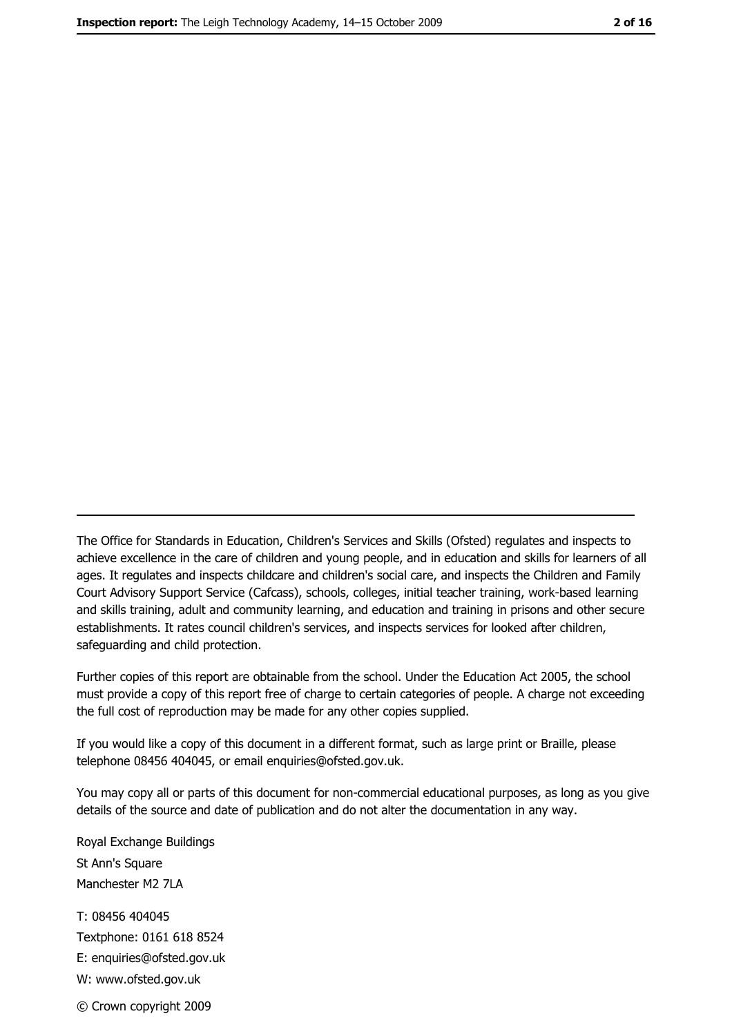The Office for Standards in Education, Children's Services and Skills (Ofsted) regulates and inspects to achieve excellence in the care of children and young people, and in education and skills for learners of all ages. It regulates and inspects childcare and children's social care, and inspects the Children and Family Court Advisory Support Service (Cafcass), schools, colleges, initial teacher training, work-based learning and skills training, adult and community learning, and education and training in prisons and other secure establishments. It rates council children's services, and inspects services for looked after children, safequarding and child protection.

Further copies of this report are obtainable from the school. Under the Education Act 2005, the school must provide a copy of this report free of charge to certain categories of people. A charge not exceeding the full cost of reproduction may be made for any other copies supplied.

If you would like a copy of this document in a different format, such as large print or Braille, please telephone 08456 404045, or email enquiries@ofsted.gov.uk.

You may copy all or parts of this document for non-commercial educational purposes, as long as you give details of the source and date of publication and do not alter the documentation in any way.

Royal Exchange Buildings St Ann's Square Manchester M2 7LA T: 08456 404045 Textphone: 0161 618 8524 E: enquiries@ofsted.gov.uk W: www.ofsted.gov.uk © Crown copyright 2009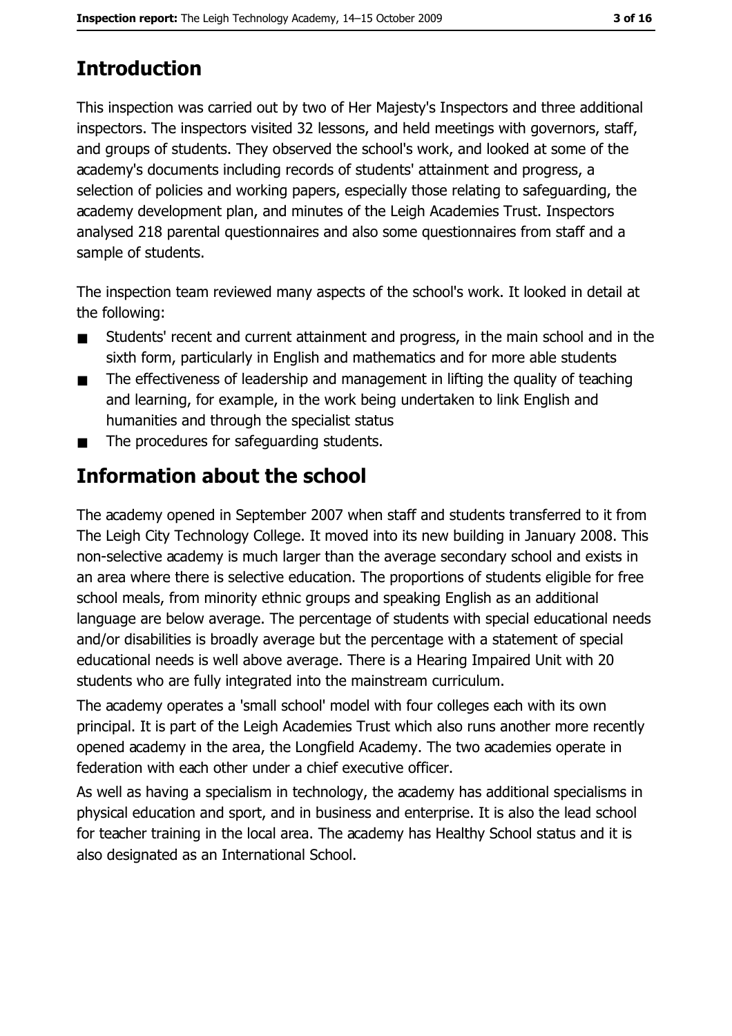# **Introduction**

This inspection was carried out by two of Her Majesty's Inspectors and three additional inspectors. The inspectors visited 32 lessons, and held meetings with governors, staff, and groups of students. They observed the school's work, and looked at some of the academy's documents including records of students' attainment and progress, a selection of policies and working papers, especially those relating to safeguarding, the academy development plan, and minutes of the Leigh Academies Trust. Inspectors analysed 218 parental questionnaires and also some questionnaires from staff and a sample of students.

The inspection team reviewed many aspects of the school's work. It looked in detail at the following:

- Students' recent and current attainment and progress, in the main school and in the  $\blacksquare$ sixth form, particularly in English and mathematics and for more able students
- The effectiveness of leadership and management in lifting the quality of teaching  $\blacksquare$ and learning, for example, in the work being undertaken to link English and humanities and through the specialist status
- The procedures for safeguarding students.  $\blacksquare$

# Information about the school

The academy opened in September 2007 when staff and students transferred to it from The Leigh City Technology College. It moved into its new building in January 2008. This non-selective academy is much larger than the average secondary school and exists in an area where there is selective education. The proportions of students eligible for free school meals, from minority ethnic groups and speaking English as an additional language are below average. The percentage of students with special educational needs and/or disabilities is broadly average but the percentage with a statement of special educational needs is well above average. There is a Hearing Impaired Unit with 20 students who are fully integrated into the mainstream curriculum.

The academy operates a 'small school' model with four colleges each with its own principal. It is part of the Leigh Academies Trust which also runs another more recently opened academy in the area, the Longfield Academy. The two academies operate in federation with each other under a chief executive officer.

As well as having a specialism in technology, the academy has additional specialisms in physical education and sport, and in business and enterprise. It is also the lead school for teacher training in the local area. The academy has Healthy School status and it is also designated as an International School.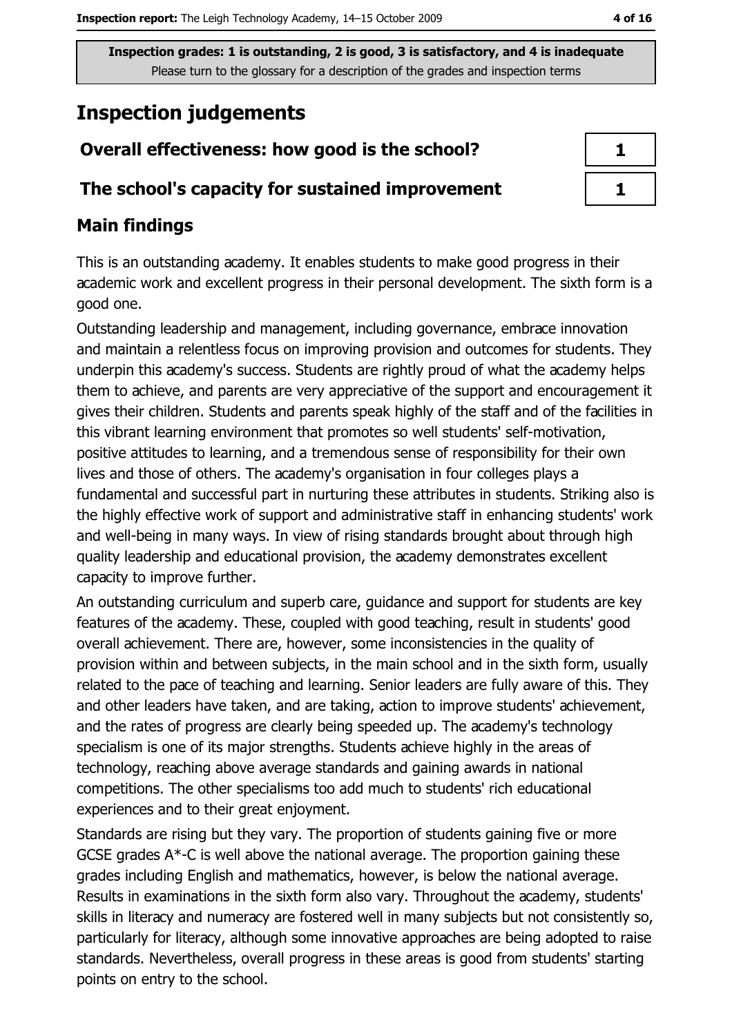# **Inspection judgements**

# Overall effectiveness: how good is the school?

## The school's capacity for sustained improvement

# **Main findings**

This is an outstanding academy. It enables students to make good progress in their academic work and excellent progress in their personal development. The sixth form is a good one.

Outstanding leadership and management, including governance, embrace innovation and maintain a relentless focus on improving provision and outcomes for students. They underpin this academy's success. Students are rightly proud of what the academy helps them to achieve, and parents are very appreciative of the support and encouragement it gives their children. Students and parents speak highly of the staff and of the facilities in this vibrant learning environment that promotes so well students' self-motivation, positive attitudes to learning, and a tremendous sense of responsibility for their own lives and those of others. The academy's organisation in four colleges plays a fundamental and successful part in nurturing these attributes in students. Striking also is the highly effective work of support and administrative staff in enhancing students' work and well-being in many ways. In view of rising standards brought about through high quality leadership and educational provision, the academy demonstrates excellent capacity to improve further.

An outstanding curriculum and superb care, guidance and support for students are key features of the academy. These, coupled with good teaching, result in students' good overall achievement. There are, however, some inconsistencies in the quality of provision within and between subjects, in the main school and in the sixth form, usually related to the pace of teaching and learning. Senior leaders are fully aware of this. They and other leaders have taken, and are taking, action to improve students' achievement, and the rates of progress are clearly being speeded up. The academy's technology specialism is one of its major strengths. Students achieve highly in the areas of technology, reaching above average standards and gaining awards in national competitions. The other specialisms too add much to students' rich educational experiences and to their great enjoyment.

Standards are rising but they vary. The proportion of students gaining five or more GCSE grades  $A^*$ -C is well above the national average. The proportion gaining these grades including English and mathematics, however, is below the national average. Results in examinations in the sixth form also vary. Throughout the academy, students' skills in literacy and numeracy are fostered well in many subjects but not consistently so, particularly for literacy, although some innovative approaches are being adopted to raise standards. Nevertheless, overall progress in these areas is good from students' starting points on entry to the school.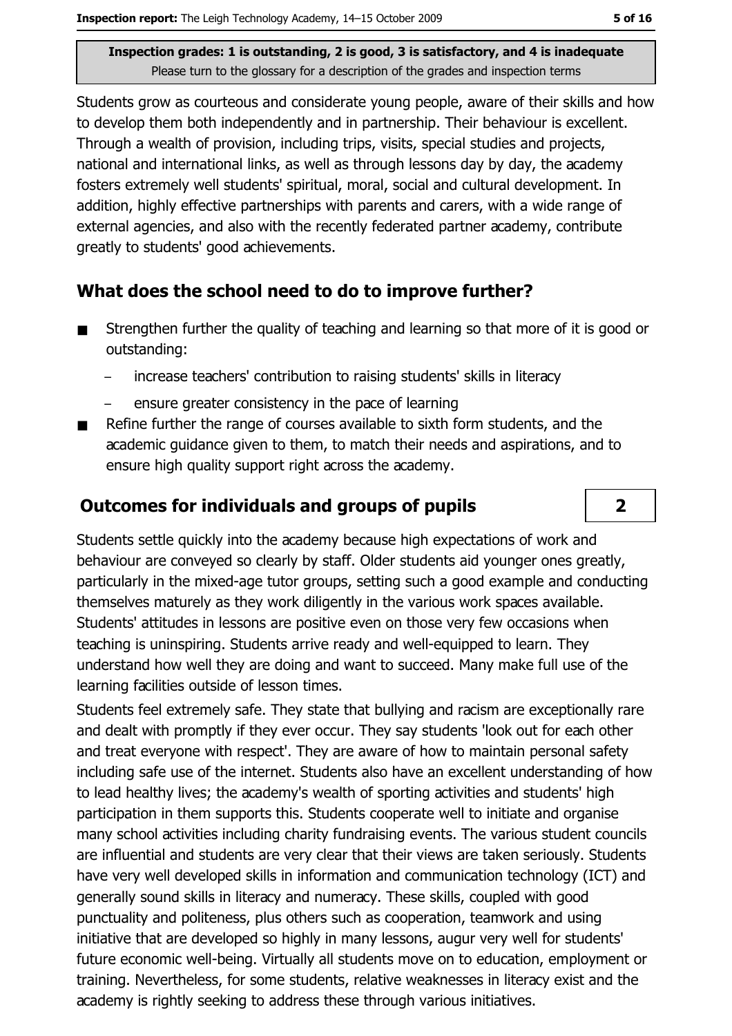Students grow as courteous and considerate young people, aware of their skills and how to develop them both independently and in partnership. Their behaviour is excellent. Through a wealth of provision, including trips, visits, special studies and projects, national and international links, as well as through lessons day by day, the academy fosters extremely well students' spiritual, moral, social and cultural development. In addition, highly effective partnerships with parents and carers, with a wide range of external agencies, and also with the recently federated partner academy, contribute greatly to students' good achievements.

## What does the school need to do to improve further?

- Strengthen further the quality of teaching and learning so that more of it is good or  $\blacksquare$ outstanding:
	- increase teachers' contribution to raising students' skills in literacy
	- ensure greater consistency in the pace of learning
- Refine further the range of courses available to sixth form students, and the  $\blacksquare$ academic quidance given to them, to match their needs and aspirations, and to ensure high quality support right across the academy.

### **Outcomes for individuals and groups of pupils**

Students settle quickly into the academy because high expectations of work and behaviour are conveyed so clearly by staff. Older students aid younger ones greatly, particularly in the mixed-age tutor groups, setting such a good example and conducting themselves maturely as they work diligently in the various work spaces available. Students' attitudes in lessons are positive even on those very few occasions when teaching is uninspiring. Students arrive ready and well-equipped to learn. They understand how well they are doing and want to succeed. Many make full use of the learning facilities outside of lesson times.

Students feel extremely safe. They state that bullying and racism are exceptionally rare and dealt with promptly if they ever occur. They say students 'look out for each other and treat evervone with respect'. They are aware of how to maintain personal safety including safe use of the internet. Students also have an excellent understanding of how to lead healthy lives; the academy's wealth of sporting activities and students' high participation in them supports this. Students cooperate well to initiate and organise many school activities including charity fundraising events. The various student councils are influential and students are very clear that their views are taken seriously. Students have very well developed skills in information and communication technology (ICT) and generally sound skills in literacy and numeracy. These skills, coupled with good punctuality and politeness, plus others such as cooperation, teamwork and using initiative that are developed so highly in many lessons, augur very well for students' future economic well-being. Virtually all students move on to education, employment or training. Nevertheless, for some students, relative weaknesses in literacy exist and the academy is rightly seeking to address these through various initiatives.

 $\overline{2}$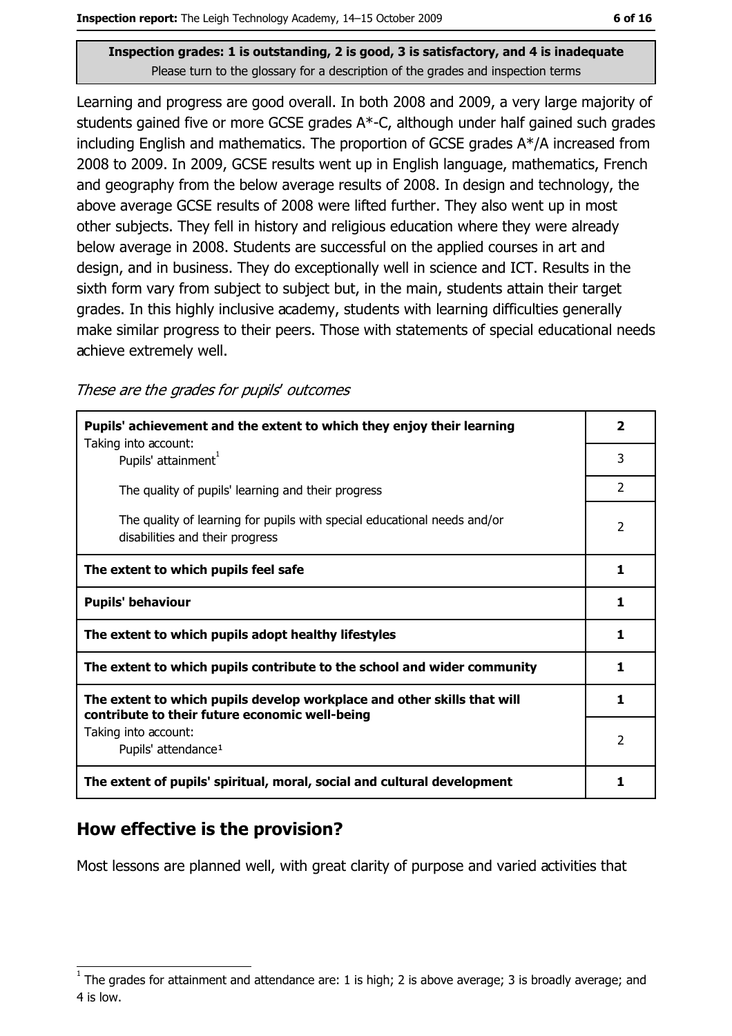Learning and progress are good overall. In both 2008 and 2009, a very large majority of students gained five or more GCSE grades A\*-C, although under half gained such grades including English and mathematics. The proportion of GCSE grades A\*/A increased from 2008 to 2009. In 2009, GCSE results went up in English language, mathematics, French and geography from the below average results of 2008. In design and technology, the above average GCSE results of 2008 were lifted further. They also went up in most other subjects. They fell in history and religious education where they were already below average in 2008. Students are successful on the applied courses in art and design, and in business. They do exceptionally well in science and ICT. Results in the sixth form vary from subject to subject but, in the main, students attain their target grades. In this highly inclusive academy, students with learning difficulties generally make similar progress to their peers. Those with statements of special educational needs achieve extremely well.

These are the grades for pupils' outcomes

| Pupils' achievement and the extent to which they enjoy their learning                                                     |                |
|---------------------------------------------------------------------------------------------------------------------------|----------------|
| Taking into account:<br>Pupils' attainment <sup>1</sup>                                                                   | 3              |
| The quality of pupils' learning and their progress                                                                        | $\overline{2}$ |
| The quality of learning for pupils with special educational needs and/or<br>disabilities and their progress               | 2              |
| The extent to which pupils feel safe                                                                                      | 1              |
| <b>Pupils' behaviour</b>                                                                                                  | 1              |
| The extent to which pupils adopt healthy lifestyles                                                                       | 1              |
| The extent to which pupils contribute to the school and wider community                                                   | 1              |
| The extent to which pupils develop workplace and other skills that will<br>contribute to their future economic well-being | 1              |
| Taking into account:                                                                                                      |                |
| Pupils' attendance <sup>1</sup>                                                                                           | $\overline{2}$ |
| The extent of pupils' spiritual, moral, social and cultural development                                                   | 1              |

## How effective is the provision?

Most lessons are planned well, with great clarity of purpose and varied activities that

The grades for attainment and attendance are: 1 is high; 2 is above average; 3 is broadly average; and 4 is low.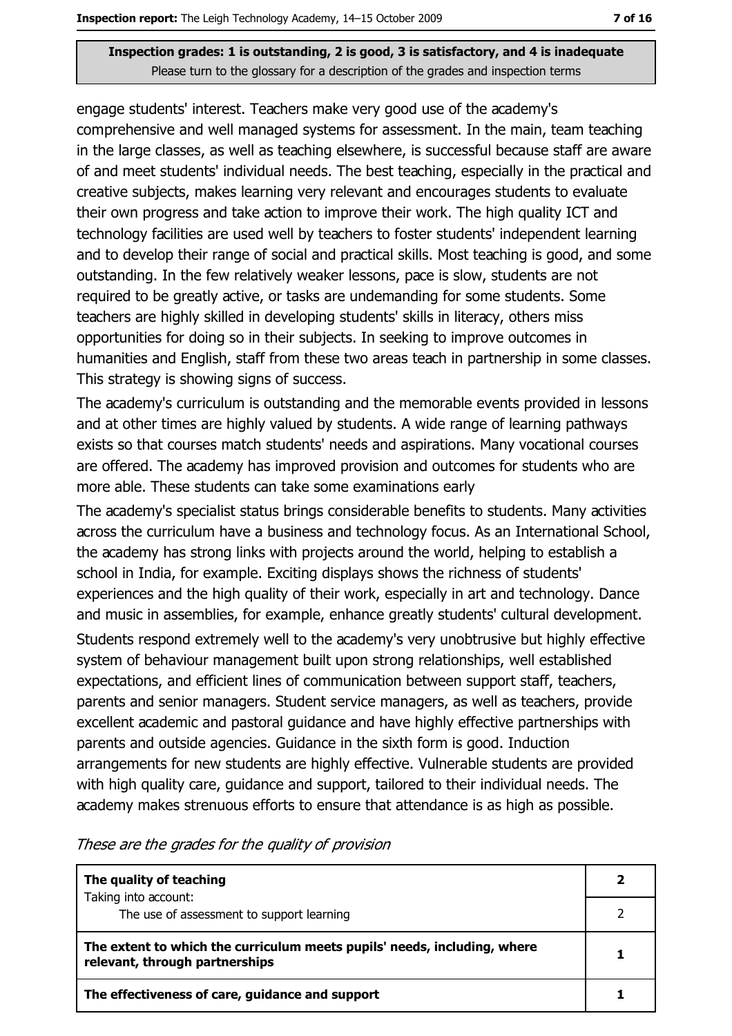engage students' interest. Teachers make very good use of the academy's comprehensive and well managed systems for assessment. In the main, team teaching in the large classes, as well as teaching elsewhere, is successful because staff are aware of and meet students' individual needs. The best teaching, especially in the practical and creative subjects, makes learning very relevant and encourages students to evaluate their own progress and take action to improve their work. The high quality ICT and technology facilities are used well by teachers to foster students' independent learning and to develop their range of social and practical skills. Most teaching is good, and some outstanding. In the few relatively weaker lessons, pace is slow, students are not required to be greatly active, or tasks are undemanding for some students. Some teachers are highly skilled in developing students' skills in literacy, others miss opportunities for doing so in their subjects. In seeking to improve outcomes in humanities and English, staff from these two areas teach in partnership in some classes. This strategy is showing signs of success.

The academy's curriculum is outstanding and the memorable events provided in lessons and at other times are highly valued by students. A wide range of learning pathways exists so that courses match students' needs and aspirations. Many vocational courses are offered. The academy has improved provision and outcomes for students who are more able. These students can take some examinations early

The academy's specialist status brings considerable benefits to students. Many activities across the curriculum have a business and technology focus. As an International School, the academy has strong links with projects around the world, helping to establish a school in India, for example. Exciting displays shows the richness of students' experiences and the high quality of their work, especially in art and technology. Dance and music in assemblies, for example, enhance greatly students' cultural development.

Students respond extremely well to the academy's very unobtrusive but highly effective system of behaviour management built upon strong relationships, well established expectations, and efficient lines of communication between support staff, teachers, parents and senior managers. Student service managers, as well as teachers, provide excellent academic and pastoral quidance and have highly effective partnerships with parents and outside agencies. Guidance in the sixth form is good. Induction arrangements for new students are highly effective. Vulnerable students are provided with high quality care, guidance and support, tailored to their individual needs. The academy makes strenuous efforts to ensure that attendance is as high as possible.

These are the grades for the quality of provision

| The quality of teaching                                                                                    |  |
|------------------------------------------------------------------------------------------------------------|--|
| Taking into account:<br>The use of assessment to support learning                                          |  |
| The extent to which the curriculum meets pupils' needs, including, where<br>relevant, through partnerships |  |
| The effectiveness of care, guidance and support                                                            |  |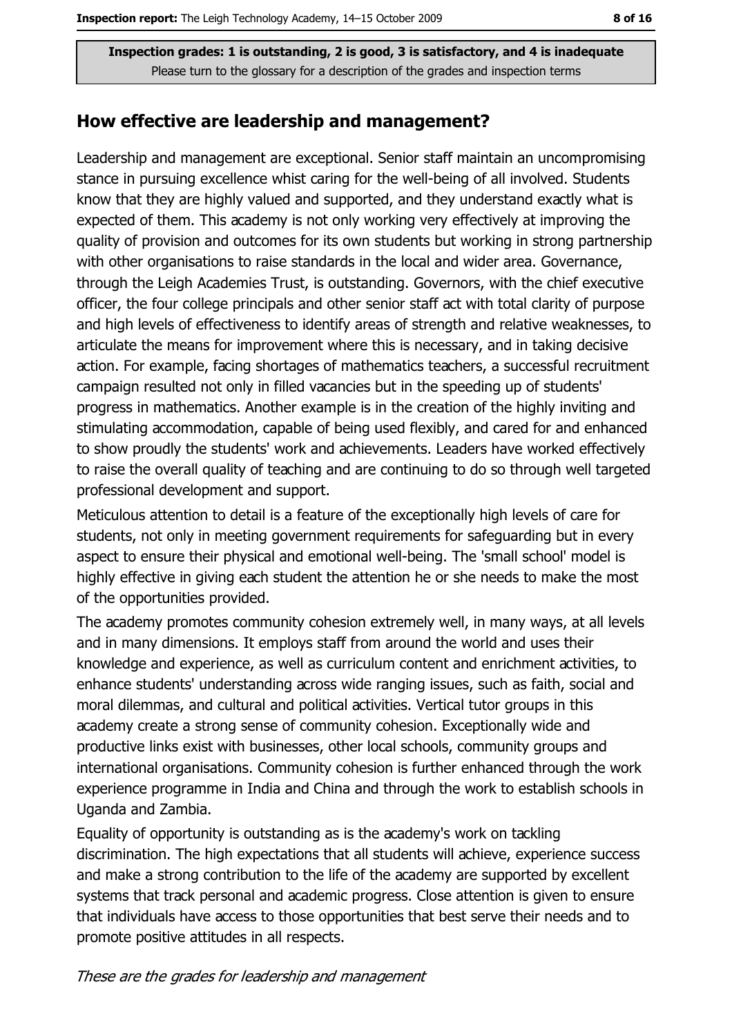#### How effective are leadership and management?

Leadership and management are exceptional. Senior staff maintain an uncompromising stance in pursuing excellence whist caring for the well-being of all involved. Students know that they are highly valued and supported, and they understand exactly what is expected of them. This academy is not only working very effectively at improving the quality of provision and outcomes for its own students but working in strong partnership with other organisations to raise standards in the local and wider area. Governance, through the Leigh Academies Trust, is outstanding. Governors, with the chief executive officer, the four college principals and other senior staff act with total clarity of purpose and high levels of effectiveness to identify areas of strength and relative weaknesses, to articulate the means for improvement where this is necessary, and in taking decisive action. For example, facing shortages of mathematics teachers, a successful recruitment campaign resulted not only in filled vacancies but in the speeding up of students' progress in mathematics. Another example is in the creation of the highly inviting and stimulating accommodation, capable of being used flexibly, and cared for and enhanced to show proudly the students' work and achievements. Leaders have worked effectively to raise the overall quality of teaching and are continuing to do so through well targeted professional development and support.

Meticulous attention to detail is a feature of the exceptionally high levels of care for students, not only in meeting government requirements for safeguarding but in every aspect to ensure their physical and emotional well-being. The 'small school' model is highly effective in giving each student the attention he or she needs to make the most of the opportunities provided.

The academy promotes community cohesion extremely well, in many ways, at all levels and in many dimensions. It employs staff from around the world and uses their knowledge and experience, as well as curriculum content and enrichment activities, to enhance students' understanding across wide ranging issues, such as faith, social and moral dilemmas, and cultural and political activities. Vertical tutor groups in this academy create a strong sense of community cohesion. Exceptionally wide and productive links exist with businesses, other local schools, community groups and international organisations. Community cohesion is further enhanced through the work experience programme in India and China and through the work to establish schools in Uganda and Zambia.

Equality of opportunity is outstanding as is the academy's work on tackling discrimination. The high expectations that all students will achieve, experience success and make a strong contribution to the life of the academy are supported by excellent systems that track personal and academic progress. Close attention is given to ensure that individuals have access to those opportunities that best serve their needs and to promote positive attitudes in all respects.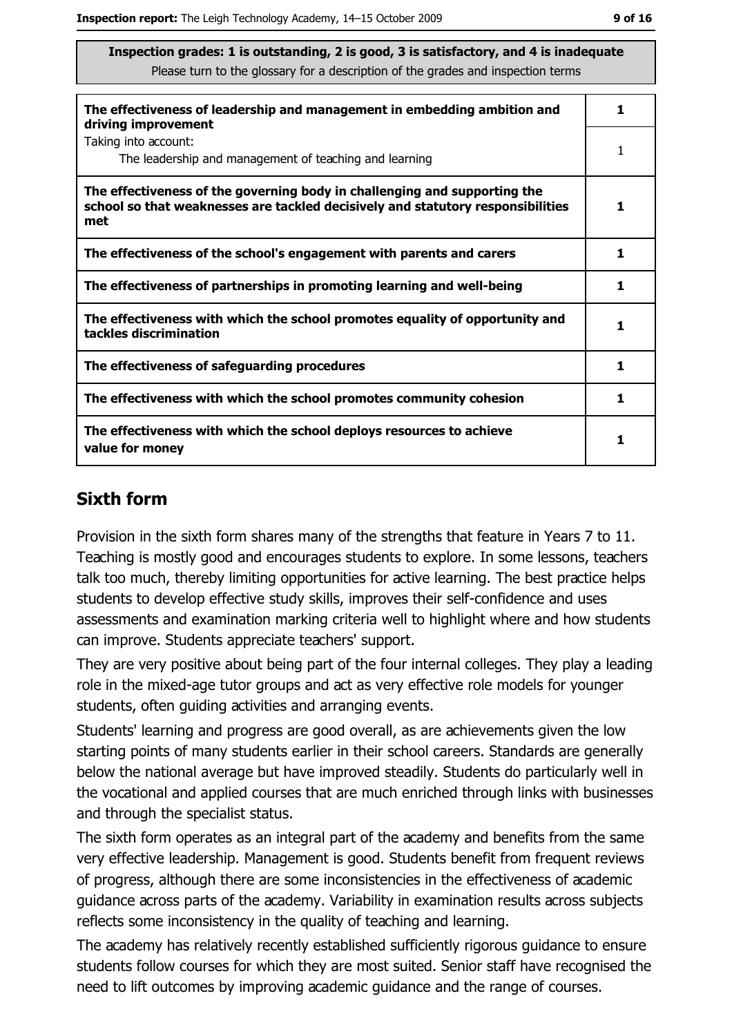| The effectiveness of leadership and management in embedding ambition and<br>driving improvement                                                                     |    |
|---------------------------------------------------------------------------------------------------------------------------------------------------------------------|----|
| Taking into account:<br>The leadership and management of teaching and learning                                                                                      | 1  |
| The effectiveness of the governing body in challenging and supporting the<br>school so that weaknesses are tackled decisively and statutory responsibilities<br>met |    |
| The effectiveness of the school's engagement with parents and carers                                                                                                | 1  |
| The effectiveness of partnerships in promoting learning and well-being                                                                                              | 1  |
| The effectiveness with which the school promotes equality of opportunity and<br>tackles discrimination                                                              |    |
| The effectiveness of safeguarding procedures                                                                                                                        | 1  |
| The effectiveness with which the school promotes community cohesion                                                                                                 | 1. |
| The effectiveness with which the school deploys resources to achieve<br>value for money                                                                             |    |

## **Sixth form**

Provision in the sixth form shares many of the strengths that feature in Years 7 to 11. Teaching is mostly good and encourages students to explore. In some lessons, teachers talk too much, thereby limiting opportunities for active learning. The best practice helps students to develop effective study skills, improves their self-confidence and uses assessments and examination marking criteria well to highlight where and how students can improve. Students appreciate teachers' support.

They are very positive about being part of the four internal colleges. They play a leading role in the mixed-age tutor groups and act as very effective role models for younger students, often quiding activities and arranging events.

Students' learning and progress are good overall, as are achievements given the low starting points of many students earlier in their school careers. Standards are generally below the national average but have improved steadily. Students do particularly well in the vocational and applied courses that are much enriched through links with businesses and through the specialist status.

The sixth form operates as an integral part of the academy and benefits from the same very effective leadership. Management is good. Students benefit from frequent reviews of progress, although there are some inconsistencies in the effectiveness of academic quidance across parts of the academy. Variability in examination results across subjects reflects some inconsistency in the quality of teaching and learning.

The academy has relatively recently established sufficiently rigorous guidance to ensure students follow courses for which they are most suited. Senior staff have recognised the need to lift outcomes by improving academic guidance and the range of courses.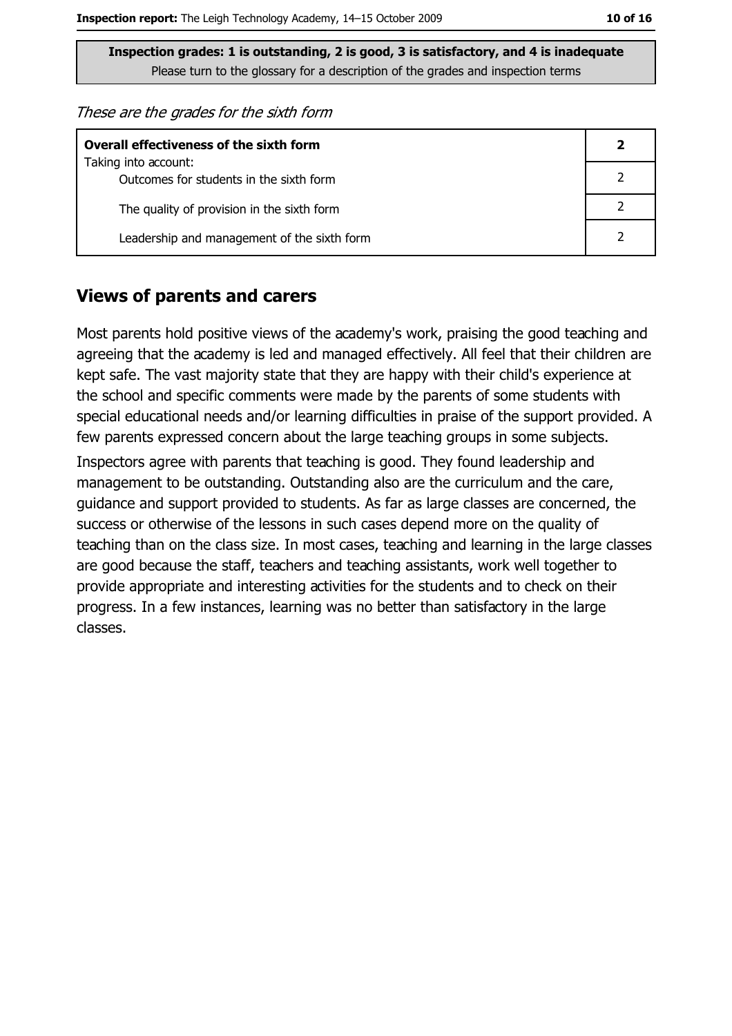These are the grades for the sixth form

| <b>Overall effectiveness of the sixth form</b>                  |  |  |
|-----------------------------------------------------------------|--|--|
| Taking into account:<br>Outcomes for students in the sixth form |  |  |
| The quality of provision in the sixth form                      |  |  |
| Leadership and management of the sixth form                     |  |  |

#### **Views of parents and carers**

Most parents hold positive views of the academy's work, praising the good teaching and agreeing that the academy is led and managed effectively. All feel that their children are kept safe. The vast majority state that they are happy with their child's experience at the school and specific comments were made by the parents of some students with special educational needs and/or learning difficulties in praise of the support provided. A few parents expressed concern about the large teaching groups in some subjects. Inspectors agree with parents that teaching is good. They found leadership and management to be outstanding. Outstanding also are the curriculum and the care, guidance and support provided to students. As far as large classes are concerned, the success or otherwise of the lessons in such cases depend more on the quality of teaching than on the class size. In most cases, teaching and learning in the large classes are good because the staff, teachers and teaching assistants, work well together to

provide appropriate and interesting activities for the students and to check on their progress. In a few instances, learning was no better than satisfactory in the large classes.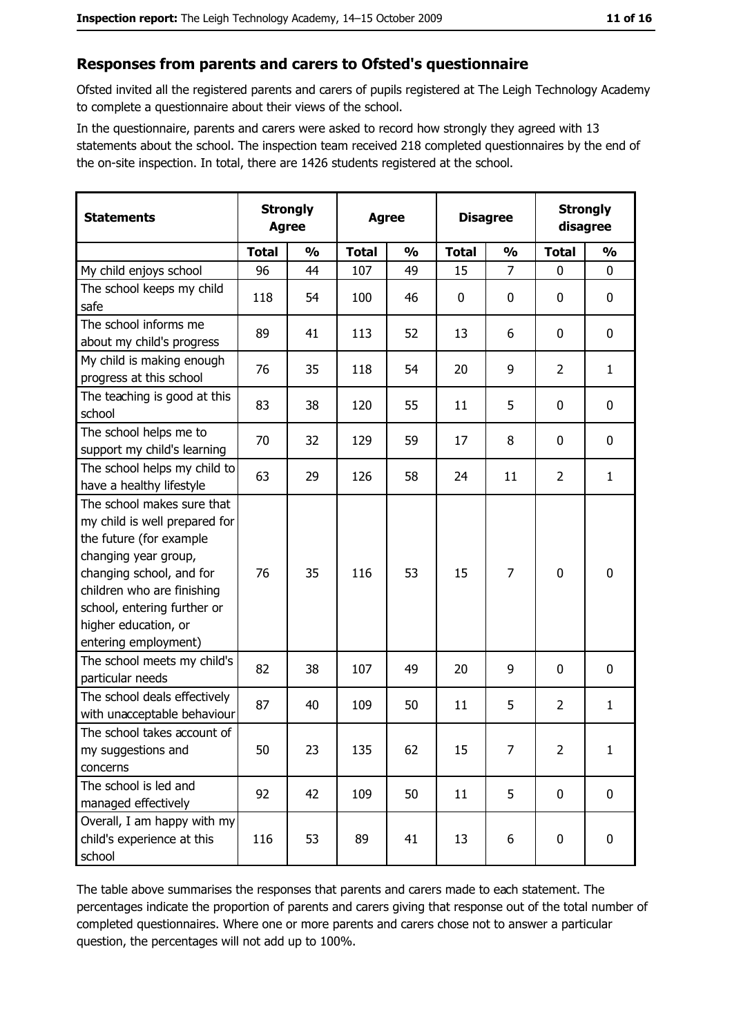#### Responses from parents and carers to Ofsted's questionnaire

Ofsted invited all the registered parents and carers of pupils registered at The Leigh Technology Academy to complete a questionnaire about their views of the school.

In the questionnaire, parents and carers were asked to record how strongly they agreed with 13 statements about the school. The inspection team received 218 completed questionnaires by the end of the on-site inspection. In total, there are 1426 students registered at the school.

| <b>Statements</b>                                                                                                                                                                                                                                       | <b>Strongly</b><br><b>Agree</b> |               | <b>Agree</b> |               |              | <b>Disagree</b> |                | <b>Strongly</b><br>disagree |  |
|---------------------------------------------------------------------------------------------------------------------------------------------------------------------------------------------------------------------------------------------------------|---------------------------------|---------------|--------------|---------------|--------------|-----------------|----------------|-----------------------------|--|
|                                                                                                                                                                                                                                                         | <b>Total</b>                    | $\frac{0}{0}$ | <b>Total</b> | $\frac{0}{0}$ | <b>Total</b> | $\frac{0}{0}$   | <b>Total</b>   | $\frac{0}{0}$               |  |
| My child enjoys school                                                                                                                                                                                                                                  | 96                              | 44            | 107          | 49            | 15           | $\overline{7}$  | 0              | $\mathbf 0$                 |  |
| The school keeps my child<br>safe                                                                                                                                                                                                                       | 118                             | 54            | 100          | 46            | $\mathbf 0$  | 0               | 0              | $\boldsymbol{0}$            |  |
| The school informs me<br>about my child's progress                                                                                                                                                                                                      | 89                              | 41            | 113          | 52            | 13           | 6               | 0              | $\mathbf 0$                 |  |
| My child is making enough<br>progress at this school                                                                                                                                                                                                    | 76                              | 35            | 118          | 54            | 20           | 9               | $\overline{2}$ | $\mathbf{1}$                |  |
| The teaching is good at this<br>school                                                                                                                                                                                                                  | 83                              | 38            | 120          | 55            | 11           | 5               | 0              | $\mathbf 0$                 |  |
| The school helps me to<br>support my child's learning                                                                                                                                                                                                   | 70                              | 32            | 129          | 59            | 17           | 8               | 0              | 0                           |  |
| The school helps my child to<br>have a healthy lifestyle                                                                                                                                                                                                | 63                              | 29            | 126          | 58            | 24           | 11              | $\overline{2}$ | $\mathbf{1}$                |  |
| The school makes sure that<br>my child is well prepared for<br>the future (for example<br>changing year group,<br>changing school, and for<br>children who are finishing<br>school, entering further or<br>higher education, or<br>entering employment) | 76                              | 35            | 116          | 53            | 15           | 7               | 0              | $\boldsymbol{0}$            |  |
| The school meets my child's<br>particular needs                                                                                                                                                                                                         | 82                              | 38            | 107          | 49            | 20           | 9               | 0              | $\mathbf 0$                 |  |
| The school deals effectively<br>with unacceptable behaviour                                                                                                                                                                                             | 87                              | 40            | 109          | 50            | 11           | 5               | $\overline{2}$ | $\mathbf{1}$                |  |
| The school takes account of<br>my suggestions and<br>concerns                                                                                                                                                                                           | 50                              | 23            | 135          | 62            | 15           | 7               | 2              | $\mathbf{1}$                |  |
| The school is led and<br>managed effectively                                                                                                                                                                                                            | 92                              | 42            | 109          | 50            | 11           | 5               | $\bf{0}$       | $\mathbf 0$                 |  |
| Overall, I am happy with my<br>child's experience at this<br>school                                                                                                                                                                                     | 116                             | 53            | 89           | 41            | 13           | 6               | 0              | $\pmb{0}$                   |  |

The table above summarises the responses that parents and carers made to each statement. The percentages indicate the proportion of parents and carers giving that response out of the total number of completed questionnaires. Where one or more parents and carers chose not to answer a particular question, the percentages will not add up to 100%.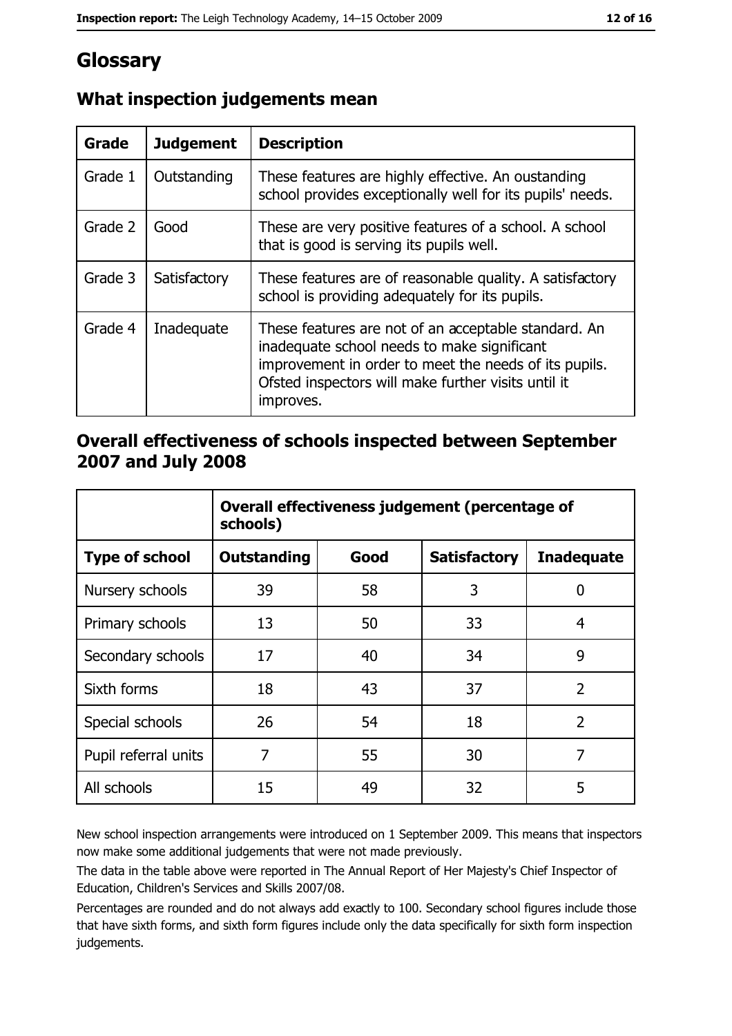# Glossary

| Grade   | <b>Judgement</b> | <b>Description</b>                                                                                                                                                                                                               |
|---------|------------------|----------------------------------------------------------------------------------------------------------------------------------------------------------------------------------------------------------------------------------|
| Grade 1 | Outstanding      | These features are highly effective. An oustanding<br>school provides exceptionally well for its pupils' needs.                                                                                                                  |
| Grade 2 | Good             | These are very positive features of a school. A school<br>that is good is serving its pupils well.                                                                                                                               |
| Grade 3 | Satisfactory     | These features are of reasonable quality. A satisfactory<br>school is providing adequately for its pupils.                                                                                                                       |
| Grade 4 | Inadequate       | These features are not of an acceptable standard. An<br>inadequate school needs to make significant<br>improvement in order to meet the needs of its pupils.<br>Ofsted inspectors will make further visits until it<br>improves. |

# What inspection judgements mean

## Overall effectiveness of schools inspected between September 2007 and July 2008

|                       | Overall effectiveness judgement (percentage of<br>schools) |      |                     |                   |
|-----------------------|------------------------------------------------------------|------|---------------------|-------------------|
| <b>Type of school</b> | Outstanding                                                | Good | <b>Satisfactory</b> | <b>Inadequate</b> |
| Nursery schools       | 39                                                         | 58   | 3                   | 0                 |
| Primary schools       | 13                                                         | 50   | 33                  | 4                 |
| Secondary schools     | 17                                                         | 40   | 34                  | 9                 |
| Sixth forms           | 18                                                         | 43   | 37                  | $\overline{2}$    |
| Special schools       | 26                                                         | 54   | 18                  | $\overline{2}$    |
| Pupil referral units  | 7                                                          | 55   | 30                  | 7                 |
| All schools           | 15                                                         | 49   | 32                  | 5                 |

New school inspection arrangements were introduced on 1 September 2009. This means that inspectors now make some additional judgements that were not made previously.

The data in the table above were reported in The Annual Report of Her Majesty's Chief Inspector of Education, Children's Services and Skills 2007/08.

Percentages are rounded and do not always add exactly to 100. Secondary school figures include those that have sixth forms, and sixth form figures include only the data specifically for sixth form inspection judgements.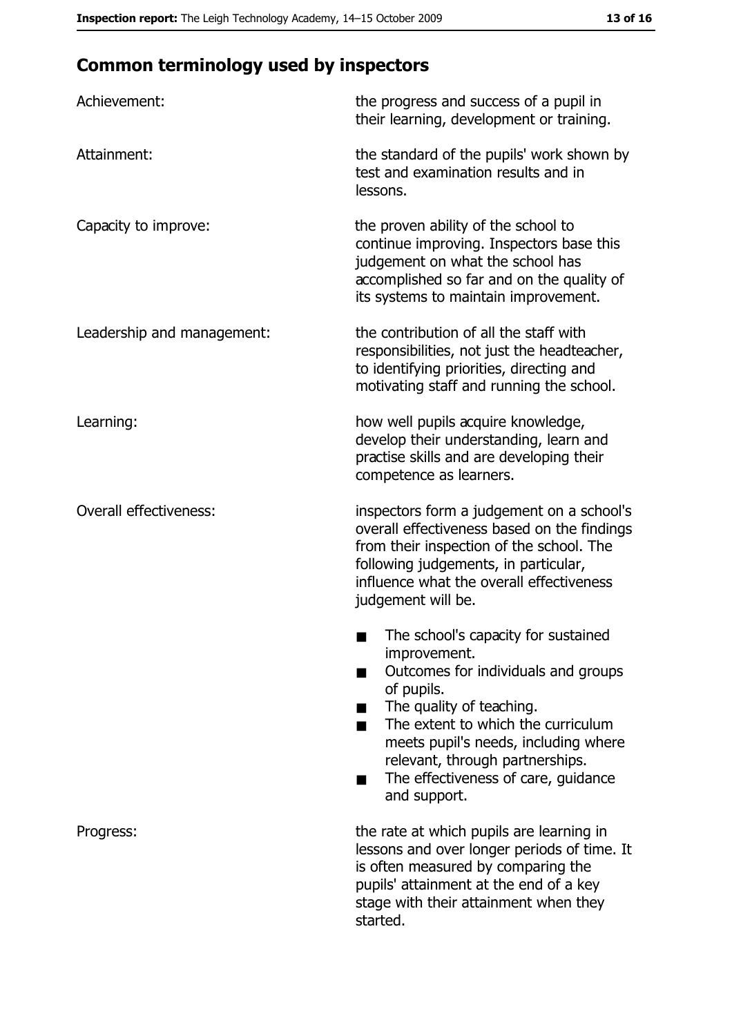# **Common terminology used by inspectors**

| Achievement:                  | the progress and success of a pupil in<br>their learning, development or training.                                                                                                                                                                                                                           |
|-------------------------------|--------------------------------------------------------------------------------------------------------------------------------------------------------------------------------------------------------------------------------------------------------------------------------------------------------------|
| Attainment:                   | the standard of the pupils' work shown by<br>test and examination results and in<br>lessons.                                                                                                                                                                                                                 |
| Capacity to improve:          | the proven ability of the school to<br>continue improving. Inspectors base this<br>judgement on what the school has<br>accomplished so far and on the quality of<br>its systems to maintain improvement.                                                                                                     |
| Leadership and management:    | the contribution of all the staff with<br>responsibilities, not just the headteacher,<br>to identifying priorities, directing and<br>motivating staff and running the school.                                                                                                                                |
| Learning:                     | how well pupils acquire knowledge,<br>develop their understanding, learn and<br>practise skills and are developing their<br>competence as learners.                                                                                                                                                          |
| <b>Overall effectiveness:</b> | inspectors form a judgement on a school's<br>overall effectiveness based on the findings<br>from their inspection of the school. The<br>following judgements, in particular,<br>influence what the overall effectiveness<br>judgement will be.                                                               |
|                               | The school's capacity for sustained<br>improvement.<br>Outcomes for individuals and groups<br>of pupils.<br>The quality of teaching.<br>The extent to which the curriculum<br>meets pupil's needs, including where<br>relevant, through partnerships.<br>The effectiveness of care, guidance<br>and support. |
| Progress:                     | the rate at which pupils are learning in<br>lessons and over longer periods of time. It<br>is often measured by comparing the<br>pupils' attainment at the end of a key<br>stage with their attainment when they<br>started.                                                                                 |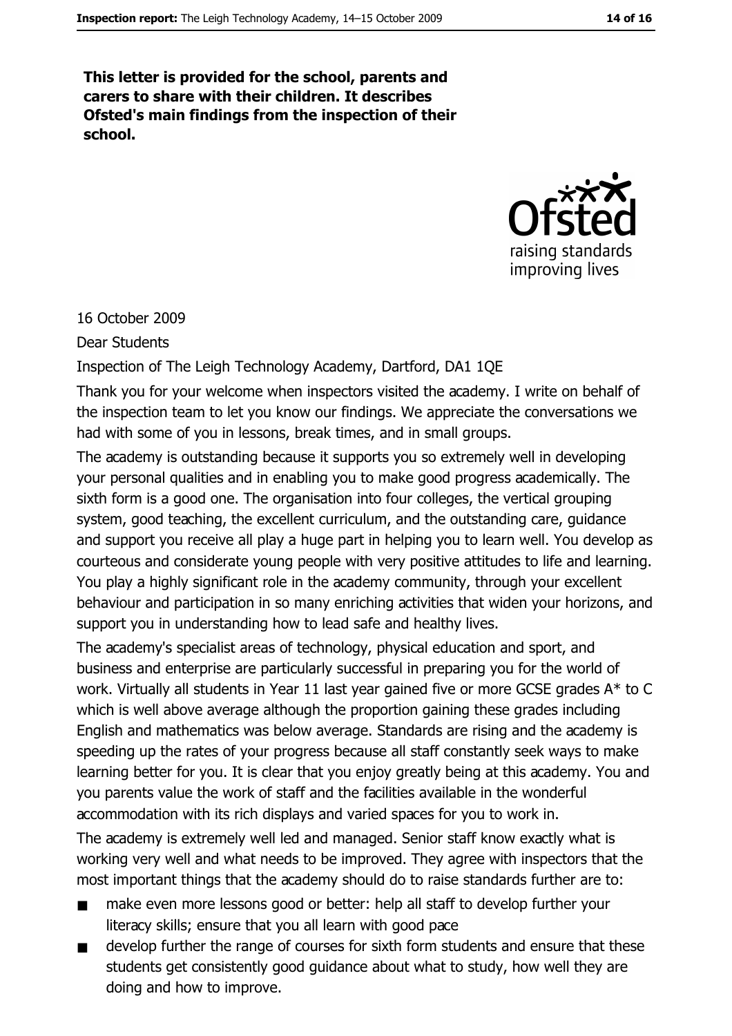This letter is provided for the school, parents and carers to share with their children. It describes Ofsted's main findings from the inspection of their school.



#### 16 October 2009

#### **Dear Students**

Inspection of The Leigh Technology Academy, Dartford, DA1 1QE

Thank you for your welcome when inspectors visited the academy. I write on behalf of the inspection team to let you know our findings. We appreciate the conversations we had with some of you in lessons, break times, and in small groups.

The academy is outstanding because it supports you so extremely well in developing your personal qualities and in enabling you to make good progress academically. The sixth form is a good one. The organisation into four colleges, the vertical grouping system, good teaching, the excellent curriculum, and the outstanding care, guidance and support you receive all play a huge part in helping you to learn well. You develop as courteous and considerate young people with very positive attitudes to life and learning. You play a highly significant role in the academy community, through your excellent behaviour and participation in so many enriching activities that widen your horizons, and support you in understanding how to lead safe and healthy lives.

The academy's specialist areas of technology, physical education and sport, and business and enterprise are particularly successful in preparing you for the world of work. Virtually all students in Year 11 last year gained five or more GCSE grades A\* to C which is well above average although the proportion gaining these grades including English and mathematics was below average. Standards are rising and the academy is speeding up the rates of your progress because all staff constantly seek ways to make learning better for you. It is clear that you enjoy greatly being at this academy. You and you parents value the work of staff and the facilities available in the wonderful accommodation with its rich displays and varied spaces for you to work in.

The academy is extremely well led and managed. Senior staff know exactly what is working very well and what needs to be improved. They agree with inspectors that the most important things that the academy should do to raise standards further are to:

- make even more lessons good or better: help all staff to develop further your  $\blacksquare$ literacy skills; ensure that you all learn with good pace
- develop further the range of courses for sixth form students and ensure that these  $\blacksquare$ students get consistently good guidance about what to study, how well they are doing and how to improve.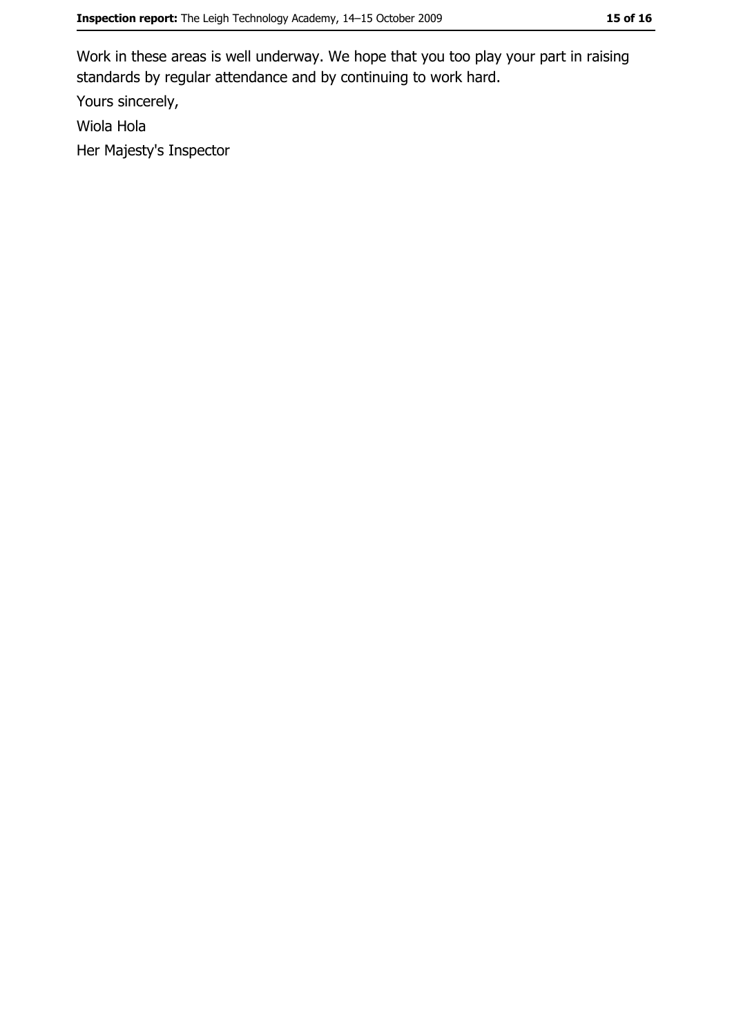Work in these areas is well underway. We hope that you too play your part in raising standards by regular attendance and by continuing to work hard.

Yours sincerely,

Wiola Hola

Her Majesty's Inspector